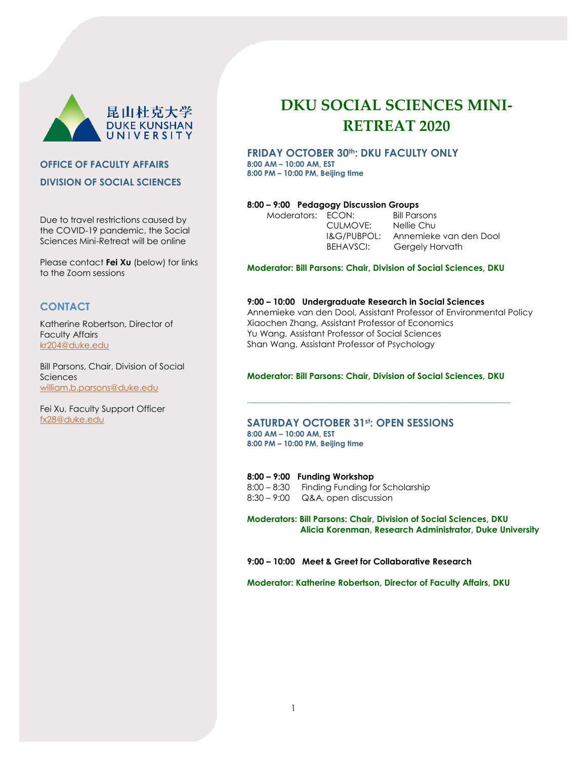

# **OFFICE OF FACULTY AFFAIRS DIVISION OF SOCIAL SCIENCES**

Due to travel restrictions caused by the COVID-19 pandemic, the Social Sciences Mini-Retreat will be online

Please contact **Fei Xu** (below) for links to the Zoom sessions

# **CONTACT**

Katherine Robertson, Director of Faculty Affairs [kr204@duke.edu](mailto:kr204@duke.edu)

Bill Parsons, Chair, Division of Social Sciences [william.b.parsons@duke.edu](mailto:william.b.parsons@duke.edu)

Fei Xu, Faculty Support Officer [fx28@duke.edu](mailto:fx28@duke.edu)

# **DKU SOCIAL SCIENCES MINI-RETREAT 2020**

# **FRIDAY OCTOBER 30th: DKU FACULTY ONLY 8:00 AM – 10:00 AM, EST 8:00 PM – 10:00 PM, Beijing time**

# **8:00 – 9:00 Pedagogy Discussion Groups**

| Moderators: ECON: |                    | <b>Bill Parsons</b>    |
|-------------------|--------------------|------------------------|
|                   | CULMOVE:           | Nellie Chu             |
|                   | $l$ & $G$ /PUBPOL: | Annemieke van den Dool |
|                   | BEHAVSCI:          | Gergely Horvath        |
|                   |                    |                        |

# **Moderator: Bill Parsons: Chair, Division of Social Sciences, DKU**

# **9:00 – 10:00 Undergraduate Research in Social Sciences**

Annemieke van den Dool, Assistant Professor of Environmental Policy Xiaochen Zhang, Assistant Professor of Economics Yu Wang, Assistant Professor of Social Sciences Shan Wang, Assistant Professor of Psychology

# **Moderator: Bill Parsons: Chair, Division of Social Sciences, DKU**

**\_\_\_\_\_\_\_\_\_\_\_\_\_\_\_\_\_\_\_\_\_\_\_\_\_\_\_\_\_\_\_\_\_\_\_\_\_\_\_\_\_\_\_\_\_\_\_\_\_\_**

# **SATURDAY OCTOBER 31st: OPEN SESSIONS 8:00 AM – 10:00 AM, EST**

**8:00 PM – 10:00 PM, Beijing time**

**8:00 – 9:00 Funding Workshop**

8:00 – 8:30 Finding Funding for Scholarship 8:30 – 9:00 Q&A, open discussion

**Moderators: Bill Parsons: Chair, Division of Social Sciences, DKU Alicia Korenman, Research Administrator, Duke University**

**9:00 – 10:00 Meet & Greet for Collaborative Research** 

**Moderator: Katherine Robertson, Director of Faculty Affairs, DKU**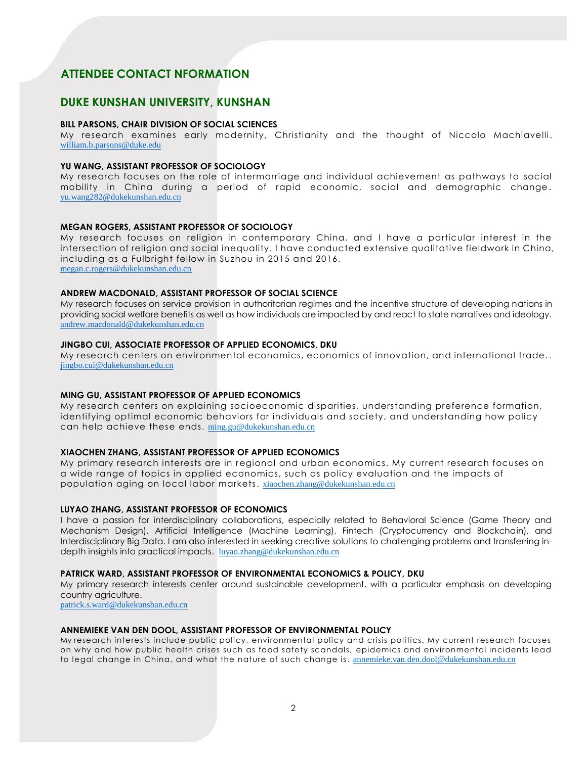# **ATTENDEE CONTACT NFORMATION**

# **DUKE KUNSHAN UNIVERSITY, KUNSHAN**

#### **BILL PARSONS, CHAIR DIVISION OF SOCIAL SCIENCES**

My research examines early modernity, Christianity and the thought of Niccolo Machiavelli. [william.b.parsons@duke.edu](mailto:william.b.parsons@duke.edu)

#### **YU WANG, ASSISTANT PROFESSOR OF SOCIOLOGY**

My research focuses on the role of intermarriage and individual achievement as pathways to social mobility in China during a period of rapid economic, social and demographic change . [yu.wang282@dukekunshan.edu.cn](mailto:yu.wang282@dukekunshan.edu.cn)

#### **MEGAN ROGERS, ASSISTANT PROFESSOR OF SOCIOLOGY**

My research focuses on religion in contemporary China, and I have a particular interest in the intersection of religion and social inequality. I have conducted extensive qualitative fieldwork in China, including as a Fulbright fellow in Suzhou in 2015 and 2016. [megan.c.rogers@dukekunshan.edu.cn](mailto:megan.c.rogers@dukekunshan.edu.cn)

#### **ANDREW MACDONALD, ASSISTANT PROFESSOR OF SOCIAL SCIENCE**

My research focuses on service provision in authoritarian regimes and the incentive structure of developing nations in providing social welfare benefits as well as how individuals are impacted by and react to state narratives and ideology. [andrew.macdonald@dukekunshan.edu.cn](mailto:andrew.macdonald@dukekunshan.edu.cn)

# **JINGBO CUI, ASSOCIATE PROFESSOR OF APPLIED ECONOMICS, DKU**

My research centers on environmental economics, economics of innovation, and international trade. . [jingbo.cui@dukekunshan.edu.cn](mailto:jingbo.cui@dukekunshan.edu.cn)

# **MING GU, ASSISTANT PROFESSOR OF APPLIED ECONOMICS**

My research centers on explaining socioeconomic disparities, understanding preference formation, identifying optimal economic behaviors for individuals and society, and understanding how policy can help achieve these ends. [ming.gu@dukekunshan.edu.cn](mailto:ming.gu@dukekunshan.edu.cn)

# **XIAOCHEN ZHANG, ASSISTANT PROFESSOR OF APPLIED ECONOMICS**

My primary research interests are in regional and urban economics. My current research focuses on a wide range of topics in applied economics, such as policy evaluation and the impacts of population aging on local labor markets. [xiaochen.zhang@dukekunshan.edu.cn](mailto:xiaochen.zhang@dukekunshan.edu.cn)

# **LUYAO ZHANG, ASSISTANT PROFESSOR OF ECONOMICS**

I have a passion for interdisciplinary collaborations, especially related to Behavioral Science (Game Theory and Mechanism Design), Artificial Intelligence (Machine Learning), Fintech (Cryptocurrency and Blockchain), and Interdisciplinary Big Data. I am also interested in seeking creative solutions to challenging problems and transferring indepth insights into practical impacts. [luyao.zhang@dukekunshan.edu.cn](mailto:luyao.zhang@dukekunshan.edu.cn)

# **PATRICK WARD, ASSISTANT PROFESSOR OF ENVIRONMENTAL ECONOMICS & POLICY, DKU**

My primary research interests center around sustainable development, with a particular emphasis on developing country agriculture.

patrick.s.ward@dukekunshan.edu.cn

# **ANNEMIEKE VAN DEN DOOL, ASSISTANT PROFESSOR OF ENVIRONMENTAL POLICY**

My research interests include public policy, environmental policy and crisis politics. My current research focuses on why and how public health crises such as food safety scandals, epidemics and environmental incidents lead to legal change in China, and what the nature of such change is. [annemieke.van.den.dool@dukekunshan.edu.cn](mailto:annemieke.van.den.dool@dukekunshan.edu.cn)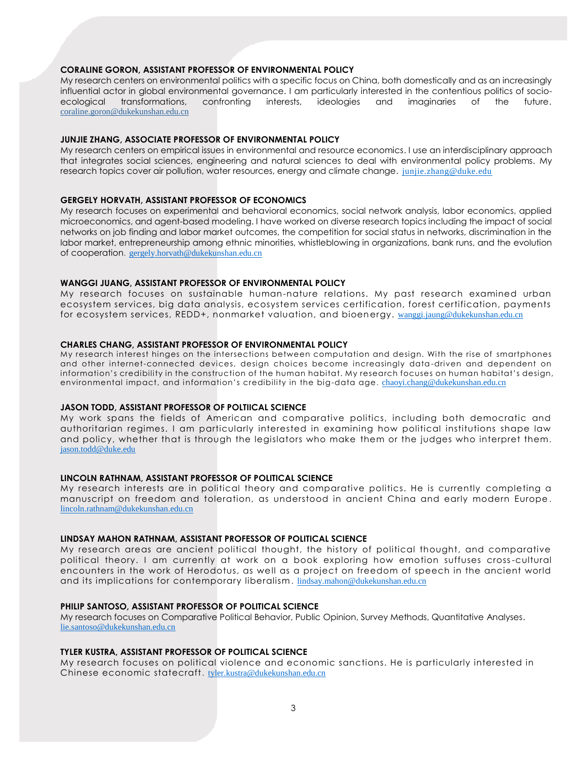# **CORALINE GORON, ASSISTANT PROFESSOR OF ENVIRONMENTAL POLICY**

My research centers on environmental politics with a specific focus on China, both domestically and as an increasingly influential actor in global environmental governance. I am particularly interested in the contentious politics of socioecological transformations, confronting interests, ideologies and imaginaries of the future. [coraline.goron@dukekunshan.edu.cn](mailto:coraline.goron@dukekunshan.edu.cn)

# **JUNJIE ZHANG, ASSOCIATE PROFESSOR OF ENVIRONMENTAL POLICY**

My research centers on empirical issues in environmental and resource economics. I use an interdisciplinary approach that integrates social sciences, engineering and natural sciences to deal with environmental policy problems. My research topics cover air pollution, water resources, energy and climate change. [junjie.zhang@duke.edu](mailto:junjie.zhang@duke.edu)

# **GERGELY HORVATH, ASSISTANT PROFESSOR OF ECONOMICS**

My research focuses on experimental and behavioral economics, social network analysis, labor economics, applied microeconomics, and agent-based modeling. I have worked on diverse research topics including the impact of social networks on job finding and labor market outcomes, the competition for social status in networks, discrimination in the labor market, entrepreneurship among ethnic minorities, whistleblowing in organizations, bank runs, and the evolution of cooperation. [gergely.horvath@dukekunshan.edu.cn](mailto:gergely.horvath@dukekunshan.edu.cn)

## **WANGGI JUANG, ASSISTANT PROFESSOR OF ENVIRONMENTAL POLICY**

My research focuses on sustainable human-nature relations. My past research examined urban ecosystem services, big data analysis, ecosystem services certification, forest certification, payments for ecosystem services, REDD+, nonmarket valuation, and bioenergy. [wanggi.jaung@dukekunshan.edu.cn](mailto:wanggi.jaung@dukekunshan.edu.cn)

#### **CHARLES CHANG, ASSISTANT PROFESSOR OF ENVIRONMENTAL POLICY**

My research interest hinges on the intersections between computation and design. With the rise of smartphones and other internet-connected devices, design choices become increasingly data-driven and dependent on information's credibility in the construction of the human habitat. My research focuses on human habitat's design, environmental impact, and information's credibility in the big-data age. [chaoyi.chang@dukekunshan.edu.cn](mailto:chaoyi.chang@dukekunshan.edu.cn)

#### **JASON TODD, ASSISTANT PROFESSOR OF POLTIICAL SCIENCE**

My work spans the fields of American and comparative politics, including both democratic and authoritarian regimes. I am particularly interested in examining how political institutions shape law and policy, whether that is through the legislators who make them or the judges who interpret them. [jason.todd@duke.edu](mailto:jason.todd@duke.edu) 

# **LINCOLN RATHNAM, ASSISTANT PROFESSOR OF POLITICAL SCIENCE**

My research interests are in political theory and comparative politics. He is currently completing a manuscript on freedom and toleration, as understood in ancient China and early modern Europe . [lincoln.rathnam@dukekunshan.edu.cn](mailto:lincoln.rathnam@dukekunshan.edu.cn)

#### **LINDSAY MAHON RATHNAM, ASSISTANT PROFESSOR OF POLITICAL SCIENCE**

My research areas are ancient political thought, the history of political thought, and comparative political theory. I am currently at work on a book exploring how emotion suffuses cross-cultural encounters in the work of Herodotus, as well as a project on freedom of speech in the ancient world and its implications for contemporary liberalism. [lindsay.mahon@dukekunshan.edu.cn](mailto:lindsay.mahon@dukekunshan.edu.cn)

#### **PHILIP SANTOSO, ASSISTANT PROFESSOR OF POLITICAL SCIENCE**

My research focuses on Comparative Political Behavior, Public Opinion, Survey Methods, Quantitative Analyses. [lie.santoso@dukekunshan.edu.cn](mailto:lie.santoso@dukekunshan.edu.cn)

## **TYLER KUSTRA, ASSISTANT PROFESSOR OF POLITICAL SCIENCE**

My research focuses on political violence and economic sanctions. He is particularly interested in Chinese economic statecraft. [tyler.kustra@dukekunshan.edu.cn](mailto:tyler.kustra@dukekunshan.edu.cn)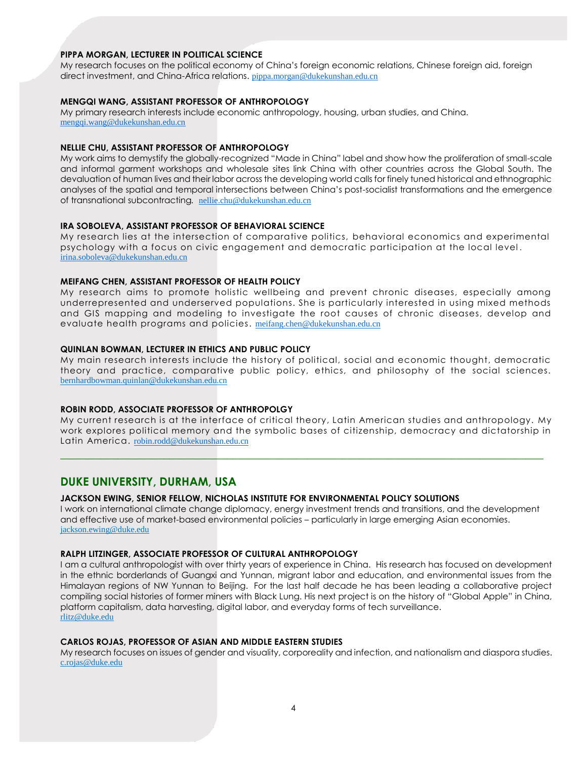# **PIPPA MORGAN, LECTURER IN POLITICAL SCIENCE**

My research focuses on the political economy of China's foreign economic relations, Chinese foreign aid, foreign direct investment, and China-Africa relations. [pippa.morgan@dukekunshan.edu.cn](mailto:pippa.morgan@dukekunshan.edu.cn)

# **MENGQI WANG, ASSISTANT PROFESSOR OF ANTHROPOLOGY**

My primary research interests include economic anthropology, housing, urban studies, and China. [mengqi.wang@dukekunshan.edu.cn](mailto:mengqi.wang@dukekunshan.edu.cn)

# **NELLIE CHU, ASSISTANT PROFESSOR OF ANTHROPOLOGY**

My work aims to demystify the globally-recognized "Made in China" label and show how the proliferation of small-scale and informal garment workshops and wholesale sites link China with other countries across the Global South. The devaluation of human lives and their labor across the developing world calls for finely tuned historical and ethnographic analyses of the spatial and temporal intersections between China's post-socialist transformations and the emergence of transnational subcontracting*.* [nellie.chu@dukekunshan.edu.cn](mailto:nellie.chu@dukekunshan.edu.cn)

# **IRA SOBOLEVA, ASSISTANT PROFESSOR OF BEHAVIORAL SCIENCE**

My research lies at the intersection of comparative politics, behavioral economics and experimental psychology with a focus on civic engagement and democratic participation at the local level . [irina.soboleva@dukekunshan.edu.cn](mailto:irina.soboleva@dukekunshan.edu.cn)

#### **MEIFANG CHEN, ASSISTANT PROFESSOR OF HEALTH POLICY**

My research aims to promote holistic wellbeing and prevent chronic diseases, especially among underrepresented and underserved populations. She is particularly interested in using mixed methods and GIS mapping and modeling to investigate the root causes of chronic diseases, develop and evaluate health programs and policies. [meifang.chen@dukekunshan.edu.cn](mailto:meifang.chen@dukekunshan.edu.cn)

# **QUINLAN BOWMAN, LECTURER IN ETHICS AND PUBLIC POLICY**

My main research interests include the history of political, social and economic thought, democratic theory and practice, comparative public policy, ethics, and philosophy of the social sciences. [bernhardbowman.quinlan@dukekunshan.edu.cn](mailto:bernhardbowman.quinlan@dukekunshan.edu.cn)

# **ROBIN RODD, ASSOCIATE PROFESSOR OF ANTHROPOLGY**

My current research is at the interface of critical theory, Latin American studies and anthropology. My work explores political memory and the symbolic bases of citizenship, democracy and dictatorship in Latin America. [robin.rodd@dukekunshan.edu.cn](mailto:robin.rodd@dukekunshan.edu.cn)

**\_\_\_\_\_\_\_\_\_\_\_\_\_\_\_\_\_\_\_\_\_\_\_\_\_\_\_\_\_\_\_\_\_\_\_\_\_\_\_\_\_\_\_\_\_\_\_\_\_\_\_\_\_\_\_\_\_\_\_\_\_\_\_\_\_\_\_\_\_\_\_\_\_\_\_\_\_\_\_\_\_\_\_\_**

# **DUKE UNIVERSITY, DURHAM, USA**

#### **JACKSON EWING, SENIOR FELLOW, NICHOLAS INSTITUTE FOR ENVIRONMENTAL POLICY SOLUTIONS**

I work on international climate change diplomacy, energy investment trends and transitions, and the development and effective use of market-based environmental policies – particularly in large emerging Asian economies. [jackson.ewing@duke.edu](mailto:jackson.ewing@duke.edu)

# **RALPH LITZINGER, ASSOCIATE PROFESSOR OF CULTURAL ANTHROPOLOGY**

I am a cultural anthropologist with over thirty years of experience in China. His research has focused on development in the ethnic borderlands of Guangxi and Yunnan, migrant labor and education, and environmental issues from the Himalayan regions of NW Yunnan to Beijing. For the last half decade he has been leading a collaborative project compiling social histories of former miners with Black Lung. His next project is on the history of "Global Apple" in China, platform capitalism, data harvesting, digital labor, and everyday forms of tech surveillance. [rlitz@duke.edu](mailto:rlitz@duke.edu)

## **CARLOS ROJAS, PROFESSOR OF ASIAN AND MIDDLE EASTERN STUDIES**

My research focuses on issues of gender and visuality, corporeality and infection, and nationalism and diaspora studies. [c.rojas@duke.edu](mailto:c.rojas@duke.edu)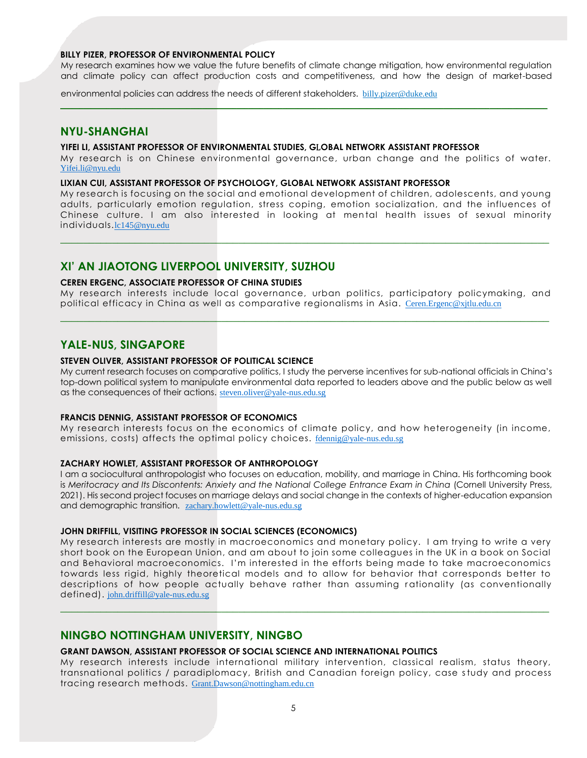#### **BILLY PIZER, PROFESSOR OF ENVIRONMENTAL POLICY**

My research examines how we value the future benefits of climate change mitigation, how environmental regulation and climate policy can affect production costs and competitiveness, and how the design of market-based

 $\mathcal{L}_\mathcal{L} = \{ \mathcal{L}_\mathcal{L} = \{ \mathcal{L}_\mathcal{L} = \{ \mathcal{L}_\mathcal{L} = \{ \mathcal{L}_\mathcal{L} = \{ \mathcal{L}_\mathcal{L} = \{ \mathcal{L}_\mathcal{L} = \{ \mathcal{L}_\mathcal{L} = \{ \mathcal{L}_\mathcal{L} = \{ \mathcal{L}_\mathcal{L} = \{ \mathcal{L}_\mathcal{L} = \{ \mathcal{L}_\mathcal{L} = \{ \mathcal{L}_\mathcal{L} = \{ \mathcal{L}_\mathcal{L} = \{ \mathcal{L}_\mathcal{$ 

environmental policies can address the needs of different stakeholders. billy.pizer@duke.edu

# **NYU-SHANGHAI**

# **YIFEI LI, ASSISTANT PROFESSOR OF ENVIRONMENTAL STUDIES, G**L**OBAL NETWORK ASSISTANT PROFESSOR**

My research is on Chinese environmental governance, urban change and the politics of water. [Yifei.li@nyu.edu](mailto:Yifei.li@nyu.edu)

# **LIXIAN CUI, ASSISTANT PROFESSOR OF PSYCHOLOGY, GLOBAL NETWORK ASSISTANT PROFESSOR**

My research is focusing on the social and emotional development of children, adolescents, and young adults, particularly emotion regulation, stress coping, emotion socialization, and the influences of Chinese culture. I am also interested in looking at mental health issues of sexual minority individuals.lc145@nyu.edu

**\_\_\_\_\_\_\_\_\_\_\_\_\_\_\_\_\_\_\_\_\_\_\_\_\_\_\_\_\_\_\_\_\_\_\_\_\_\_\_\_\_\_\_\_\_\_\_\_\_\_\_\_\_\_\_\_\_\_\_\_\_\_\_\_\_\_\_\_\_\_\_\_\_\_\_\_\_\_\_\_\_\_\_\_\_**

# **XI' AN JIAOTONG LIVERPOOL UNIVERSITY, SUZHOU**

#### **CEREN ERGENC, ASSOCIATE PROFESSOR OF CHINA STUDIES**

My research interests include local governance, urban politics, participatory policymaking, and political efficacy in China as well as comparative regionalisms in Asia. [Ceren.Ergenc@xjtlu.edu.cn](mailto:Ceren.Ergenc@xjtlu.edu.cn) **\_\_\_\_\_\_\_\_\_\_\_\_\_\_\_\_\_\_\_\_\_\_\_\_\_\_\_\_\_\_\_\_\_\_\_\_\_\_\_\_\_\_\_\_\_\_\_\_\_\_\_\_\_\_\_\_\_\_\_\_\_\_\_\_\_\_\_\_\_\_\_\_\_\_\_\_\_\_\_\_\_\_\_\_\_**

# **YALE-NUS, SINGAPORE**

## **STEVEN OLIVER, ASSISTANT PROFESSOR OF POLITICAL SCIENCE**

My current research focuses on comparative politics, I study the perverse incentives for sub-national officials in China's top-down political system to manipulate environmental data reported to leaders above and the public below as well as the consequences of their actions. [steven.oliver@yale-nus.edu.sg](mailto:steven.oliver@yale-nus.edu.sg)

#### **FRANCIS DENNIG, ASSISTANT PROFESSOR OF ECONOMICS**

My research interests focus on the economics of climate policy, and how heterogeneity (in income, emissions, costs) affects the optimal policy choices. [fdennig@yale-nus.edu.sg](mailto:fdennig@yale-nus.edu.sg)

# **ZACHARY HOWLET, ASSISTANT PROFESSOR OF ANTHROPOLOGY**

I am a sociocultural anthropologist who focuses on education, mobility, and marriage in China. His forthcoming book is *Meritocracy and Its Discontents: Anxiety and the National College Entrance Exam in China (Cornell University Press,* 2021). His second project focuses on marriage delays and social change in the contexts of higher-education expansion and demographic transition. zachary.howlett@yale-nus.edu.sg

# **JOHN DRIFFILL, VISITING PROFESSOR IN SOCIAL SCIENCES (ECONOMICS)**

My research interests are mostly in macroeconomics and monetary policy. I am trying to write a very short book on the European Union, and am about to join some colleagues in the UK in a book on Social and Behavioral macroeconomics. I'm interested in the efforts being made to take macroeconomics towards less rigid, highly theoretical models and to allow for behavior that corresponds better to descriptions of how people actually behave rather than assuming rationality (as conventionally defined). [john.driffill@yale-nus.edu.sg](mailto:john.driffill@yale-nus.edu.sg)

**\_\_\_\_\_\_\_\_\_\_\_\_\_\_\_\_\_\_\_\_\_\_\_\_\_\_\_\_\_\_\_\_\_\_\_\_\_\_\_\_\_\_\_\_\_\_\_\_\_\_\_\_\_\_\_\_\_\_\_\_\_\_\_\_\_\_\_\_\_\_\_\_\_\_\_\_\_\_\_\_\_\_\_\_\_**

# **NINGBO NOTTINGHAM UNIVERSITY, NINGBO**

#### **GRANT DAWSON, ASSISTANT PROFESSOR OF SOCIAL SCIENCE AND INTERNATIONAL POLITICS**

My research interests include international military intervention, classical realism, status theory, transnational politics / paradiplomacy, British and Canadian foreign policy, case study and process tracing research methods. [Grant.Dawson@nottingham.edu.cn](mailto:Grant.Dawson@nottingham.edu.cn)